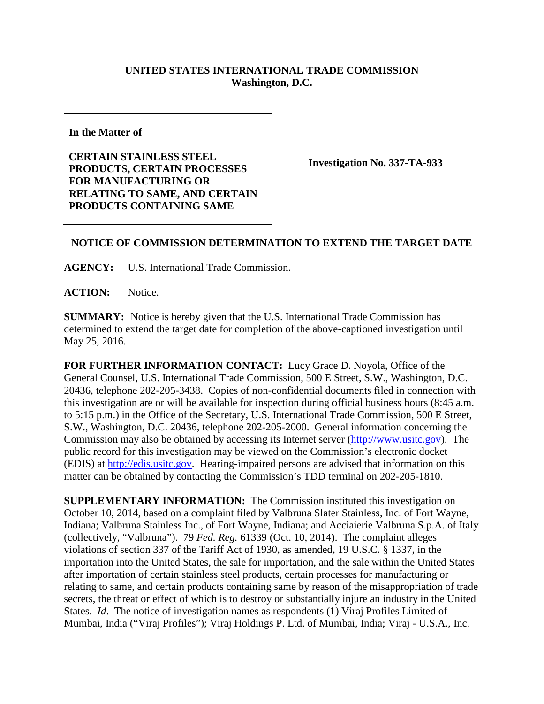## **UNITED STATES INTERNATIONAL TRADE COMMISSION Washington, D.C.**

**In the Matter of**

**CERTAIN STAINLESS STEEL PRODUCTS, CERTAIN PROCESSES FOR MANUFACTURING OR RELATING TO SAME, AND CERTAIN PRODUCTS CONTAINING SAME** 

**Investigation No. 337-TA-933**

## **NOTICE OF COMMISSION DETERMINATION TO EXTEND THE TARGET DATE**

**AGENCY:** U.S. International Trade Commission.

ACTION: Notice.

**SUMMARY:** Notice is hereby given that the U.S. International Trade Commission has determined to extend the target date for completion of the above-captioned investigation until May 25, 2016.

**FOR FURTHER INFORMATION CONTACT:** Lucy Grace D. Noyola, Office of the General Counsel, U.S. International Trade Commission, 500 E Street, S.W., Washington, D.C. 20436, telephone 202-205-3438. Copies of non-confidential documents filed in connection with this investigation are or will be available for inspection during official business hours (8:45 a.m. to 5:15 p.m.) in the Office of the Secretary, U.S. International Trade Commission, 500 E Street, S.W., Washington, D.C. 20436, telephone 202-205-2000. General information concerning the Commission may also be obtained by accessing its Internet server [\(http://www.usitc.gov\)](http://www.usitc.gov/). The public record for this investigation may be viewed on the Commission's electronic docket (EDIS) at [http://edis.usitc.gov.](http://edis.usitc.gov/) Hearing-impaired persons are advised that information on this matter can be obtained by contacting the Commission's TDD terminal on 202-205-1810.

**SUPPLEMENTARY INFORMATION:** The Commission instituted this investigation on October 10, 2014, based on a complaint filed by Valbruna Slater Stainless, Inc. of Fort Wayne, Indiana; Valbruna Stainless Inc., of Fort Wayne, Indiana; and Acciaierie Valbruna S.p.A. of Italy (collectively, "Valbruna"). 79 *Fed. Reg.* 61339 (Oct. 10, 2014). The complaint alleges violations of section 337 of the Tariff Act of 1930, as amended, 19 U.S.C. § 1337, in the importation into the United States, the sale for importation, and the sale within the United States after importation of certain stainless steel products, certain processes for manufacturing or relating to same, and certain products containing same by reason of the misappropriation of trade secrets, the threat or effect of which is to destroy or substantially injure an industry in the United States. *Id*. The notice of investigation names as respondents (1) Viraj Profiles Limited of Mumbai, India ("Viraj Profiles"); Viraj Holdings P. Ltd. of Mumbai, India; Viraj - U.S.A., Inc.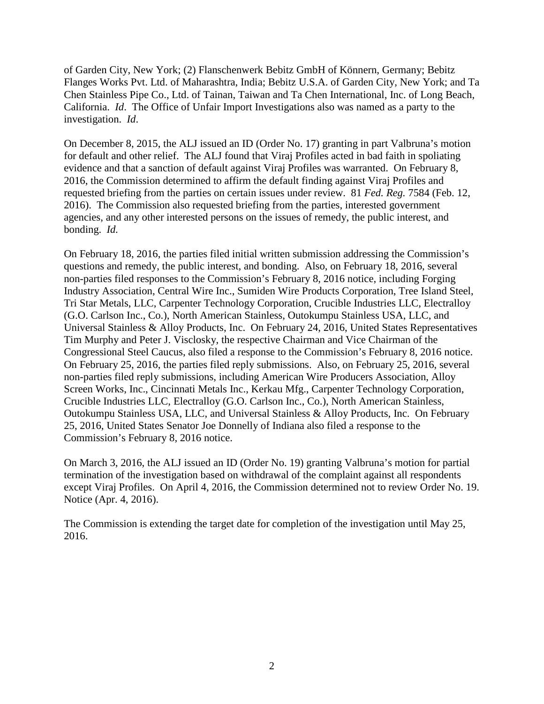of Garden City, New York; (2) Flanschenwerk Bebitz GmbH of Könnern, Germany; Bebitz Flanges Works Pvt. Ltd. of Maharashtra, India; Bebitz U.S.A. of Garden City, New York; and Ta Chen Stainless Pipe Co., Ltd. of Tainan, Taiwan and Ta Chen International, Inc. of Long Beach, California. *Id*. The Office of Unfair Import Investigations also was named as a party to the investigation. *Id*.

On December 8, 2015, the ALJ issued an ID (Order No. 17) granting in part Valbruna's motion for default and other relief. The ALJ found that Viraj Profiles acted in bad faith in spoliating evidence and that a sanction of default against Viraj Profiles was warranted. On February 8, 2016, the Commission determined to affirm the default finding against Viraj Profiles and requested briefing from the parties on certain issues under review. 81 *Fed. Reg.* 7584 (Feb. 12, 2016). The Commission also requested briefing from the parties, interested government agencies, and any other interested persons on the issues of remedy, the public interest, and bonding. *Id.*

On February 18, 2016, the parties filed initial written submission addressing the Commission's questions and remedy, the public interest, and bonding. Also, on February 18, 2016, several non-parties filed responses to the Commission's February 8, 2016 notice, including Forging Industry Association, Central Wire Inc., Sumiden Wire Products Corporation, Tree Island Steel, Tri Star Metals, LLC, Carpenter Technology Corporation, Crucible Industries LLC, Electralloy (G.O. Carlson Inc., Co.), North American Stainless, Outokumpu Stainless USA, LLC, and Universal Stainless & Alloy Products, Inc. On February 24, 2016, United States Representatives Tim Murphy and Peter J. Visclosky, the respective Chairman and Vice Chairman of the Congressional Steel Caucus, also filed a response to the Commission's February 8, 2016 notice. On February 25, 2016, the parties filed reply submissions. Also, on February 25, 2016, several non-parties filed reply submissions, including American Wire Producers Association, Alloy Screen Works, Inc., Cincinnati Metals Inc., Kerkau Mfg., Carpenter Technology Corporation, Crucible Industries LLC, Electralloy (G.O. Carlson Inc., Co.), North American Stainless, Outokumpu Stainless USA, LLC, and Universal Stainless & Alloy Products, Inc. On February 25, 2016, United States Senator Joe Donnelly of Indiana also filed a response to the Commission's February 8, 2016 notice.

On March 3, 2016, the ALJ issued an ID (Order No. 19) granting Valbruna's motion for partial termination of the investigation based on withdrawal of the complaint against all respondents except Viraj Profiles. On April 4, 2016, the Commission determined not to review Order No. 19. Notice (Apr. 4, 2016).

The Commission is extending the target date for completion of the investigation until May 25, 2016.